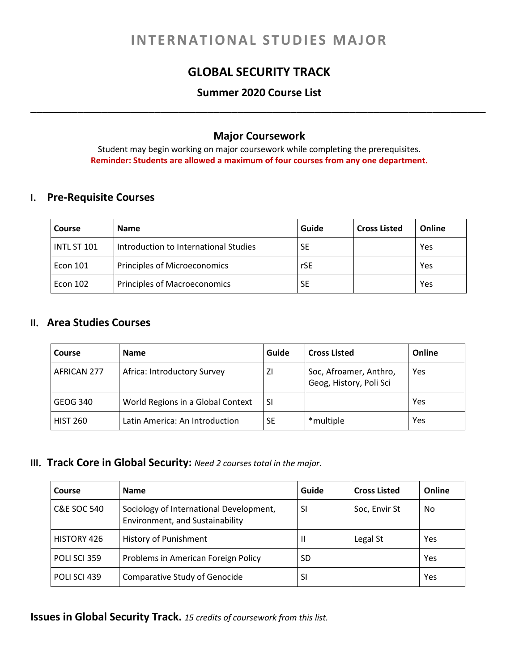# **INTERNATIONAL STUDIES MAJOR**

# **GLOBAL SECURITY TRACK**

## **Summer 2020 Course List \_\_\_\_\_\_\_\_\_\_\_\_\_\_\_\_\_\_\_\_\_\_\_\_\_\_\_\_\_\_\_\_\_\_\_\_\_\_\_\_\_\_\_\_\_\_\_\_\_\_\_\_\_\_\_\_\_\_\_\_\_\_\_\_\_\_\_\_\_\_\_\_\_\_\_\_\_**

## **Major Coursework**

Student may begin working on major coursework while completing the prerequisites. **Reminder: Students are allowed a maximum of four courses from any one department.**

#### **I. Pre-Requisite Courses**

| <b>Course</b>   | <b>Name</b>                           | Guide     | <b>Cross Listed</b> | Online |
|-----------------|---------------------------------------|-----------|---------------------|--------|
| INTL ST 101     | Introduction to International Studies | <b>SE</b> |                     | Yes    |
| <b>Econ 101</b> | Principles of Microeconomics          | rSE       |                     | Yes    |
| Econ 102        | <b>Principles of Macroeconomics</b>   | <b>SE</b> |                     | Yes    |

## **II. Area Studies Courses**

| Course          | <b>Name</b>                       | Guide     | <b>Cross Listed</b>                               | Online |
|-----------------|-----------------------------------|-----------|---------------------------------------------------|--------|
| AFRICAN 277     | Africa: Introductory Survey       | ΖI        | Soc, Afroamer, Anthro,<br>Geog, History, Poli Sci | Yes    |
| GEOG 340        | World Regions in a Global Context | -SI       |                                                   | Yes    |
| <b>HIST 260</b> | Latin America: An Introduction    | <b>SE</b> | *multiple                                         | Yes    |

#### **III. Track Core in Global Security:** *Need 2 courses total in the major.*

| Course             | <b>Name</b>                                                                | Guide     | <b>Cross Listed</b> | Online |
|--------------------|----------------------------------------------------------------------------|-----------|---------------------|--------|
| C&E SOC 540        | Sociology of International Development,<br>Environment, and Sustainability | SI        | Soc, Envir St       | No     |
| <b>HISTORY 426</b> | <b>History of Punishment</b>                                               |           | Legal St            | Yes    |
| POLI SCI 359       | Problems in American Foreign Policy                                        | <b>SD</b> |                     | Yes    |
| POLI SCI 439       | <b>Comparative Study of Genocide</b>                                       | SI        |                     | Yes    |

**Issues in Global Security Track.** *15 credits of coursework from this list.*